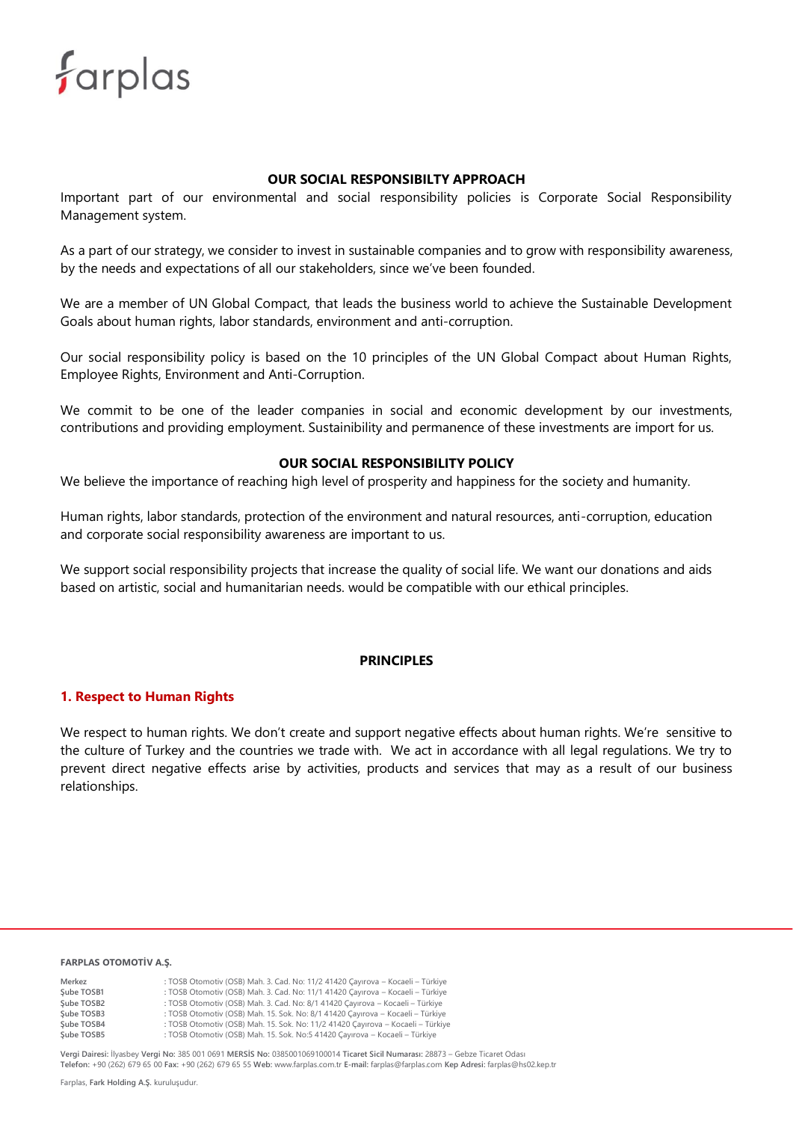

#### **OUR SOCIAL RESPONSIBILTY APPROACH**

Important part of our environmental and social responsibility policies is Corporate Social Responsibility Management system.

As a part of our strategy, we consider to invest in sustainable companies and to grow with responsibility awareness, by the needs and expectations of all our stakeholders, since we've been founded.

We are a member of UN Global Compact, that leads the business world to achieve the Sustainable Development Goals about human rights, labor standards, environment and anti-corruption.

Our social responsibility policy is based on the 10 principles of the UN Global Compact about Human Rights, Employee Rights, Environment and Anti-Corruption.

We commit to be one of the leader companies in social and economic development by our investments, contributions and providing employment. Sustainibility and permanence of these investments are import for us.

# **OUR SOCIAL RESPONSIBILITY POLICY**

We believe the importance of reaching high level of prosperity and happiness for the society and humanity.

Human rights, labor standards, protection of the environment and natural resources, anti-corruption, education and corporate social responsibility awareness are important to us.

We support social responsibility projects that increase the quality of social life. We want our donations and aids based on artistic, social and humanitarian needs. would be compatible with our ethical principles.

#### **PRINCIPLES**

#### **1. Respect to Human Rights**

We respect to human rights. We don't create and support negative effects about human rights. We're sensitive to the culture of Turkey and the countries we trade with. We act in accordance with all legal regulations. We try to prevent direct negative effects arise by activities, products and services that may as a result of our business relationships.

#### **FARPLAS OTOMOTİV A.Ş.**

| Merkez     | : TOSB Otomotiv (OSB) Mah. 3. Cad. No: 11/2 41420 Cayırova - Kocaeli - Türkiye  |
|------------|---------------------------------------------------------------------------------|
| Sube TOSB1 | : TOSB Otomotiv (OSB) Mah. 3. Cad. No: 11/1 41420 Cayırova - Kocaeli - Türkiye  |
| Sube TOSB2 | : TOSB Otomotiv (OSB) Mah. 3. Cad. No: 8/1 41420 Cayırova - Kocaeli - Türkiye   |
| Sube TOSB3 | : TOSB Otomotiv (OSB) Mah. 15. Sok. No: 8/1 41420 Cayırova - Kocaeli - Türkiye  |
| Sube TOSB4 | : TOSB Otomotiv (OSB) Mah. 15. Sok. No: 11/2 41420 Cayırova - Kocaeli - Türkiye |
| Cubo TOCRE | . TOSB Otomotiv (OSB) Mah 15 Sok No.5 41420 Caurova Kosaoli Türkiye             |

**Şube TOSB5 :** TOSB Otomotiv (OSB) Mah. 15. Sok. No:5 41420 Çayırova – Kocaeli – Türkiye

**Vergi Dairesi:** İlyasbey **Vergi No:** 385 001 0691 **MERSİS No:** 0385001069100014 **Ticaret Sicil Numarası:** 28873 – Gebze Ticaret Odası **Telefon:** +90 (262) 679 65 00 **Fax:** +90 (262) 679 65 55 **Web:** www.farplas.com.tr **E-mail:** farplas@farplas.com **Kep Adresi:** farplas@hs02.kep.tr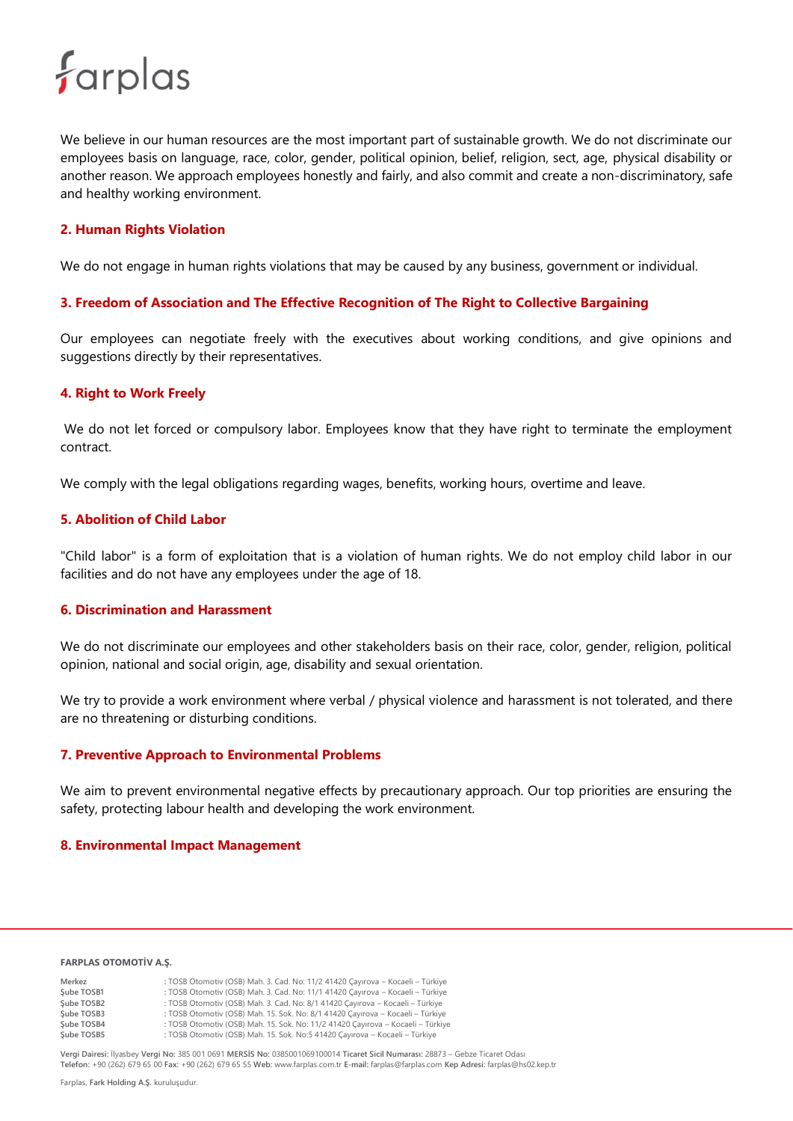# farplas

We believe in our human resources are the most important part of sustainable growth. We do not discriminate our employees basis on language, race, color, gender, political opinion, belief, religion, sect, age, physical disability or another reason. We approach employees honestly and fairly, and also commit and create a non-discriminatory, safe and healthy working environment.

#### **2. Human Rights Violation**

We do not engage in human rights violations that may be caused by any business, government or individual.

#### **3. Freedom of Association and The Effective Recognition of The Right to Collective Bargaining**

Our employees can negotiate freely with the executives about working conditions, and give opinions and suggestions directly by their representatives.

#### **4. Right to Work Freely**

We do not let forced or compulsory labor. Employees know that they have right to terminate the employment contract.

We comply with the legal obligations regarding wages, benefits, working hours, overtime and leave.

#### **5. Abolition of Child Labor**

"Child labor" is a form of exploitation that is a violation of human rights. We do not employ child labor in our facilities and do not have any employees under the age of 18.

### **6. Discrimination and Harassment**

We do not discriminate our employees and other stakeholders basis on their race, color, gender, religion, political opinion, national and social origin, age, disability and sexual orientation.

We try to provide a work environment where verbal / physical violence and harassment is not tolerated, and there are no threatening or disturbing conditions.

#### **7. Preventive Approach to Environmental Problems**

We aim to prevent environmental negative effects by precautionary approach. Our top priorities are ensuring the safety, protecting labour health and developing the work environment.

#### **8. Environmental Impact Management**

#### **FARPLAS OTOMOTİV A.Ş.**

| Merkez     | : TOSB Otomotiv (OSB) Mah. 3. Cad. No: 11/2 41420 Cayırova - Kocaeli - Türkiye  |
|------------|---------------------------------------------------------------------------------|
| Sube TOSB1 | : TOSB Otomotiv (OSB) Mah. 3. Cad. No: 11/1 41420 Çayırova - Kocaeli - Türkiye  |
| Sube TOSB2 | : TOSB Otomotiv (OSB) Mah. 3. Cad. No: 8/1 41420 Cayırova - Kocaeli - Türkiye   |
| Sube TOSB3 | : TOSB Otomotiv (OSB) Mah. 15. Sok. No: 8/1 41420 Cayırova - Kocaeli - Türkiye  |
| Sube TOSB4 | : TOSB Otomotiv (OSB) Mah. 15. Sok. No: 11/2 41420 Cayırova - Kocaeli - Türkiye |
| Sube TOSB5 | : TOSB Otomotiv (OSB) Mah. 15. Sok. No:5 41420 Çayırova - Kocaeli - Türkiye     |

**Vergi Dairesi:** İlyasbey **Vergi No:** 385 001 0691 **MERSİS No:** 0385001069100014 **Ticaret Sicil Numarası:** 28873 – Gebze Ticaret Odası **Telefon:** +90 (262) 679 65 00 **Fax:** +90 (262) 679 65 55 **Web:** www.farplas.com.tr **E-mail:** farplas@farplas.com **Kep Adresi:** farplas@hs02.kep.tr

Farplas, **Fark Holding A.Ş.** kuruluşudur.